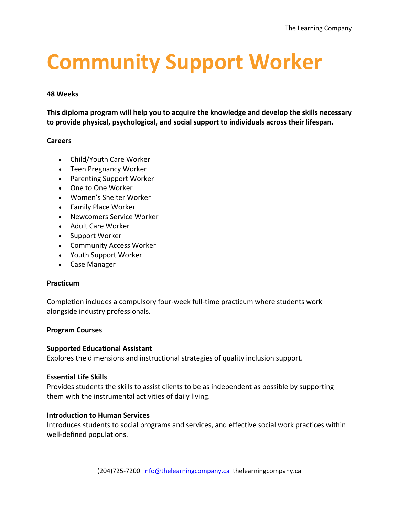# **Community Support Worker**

#### **48 Weeks**

**This diploma program will help you to acquire the knowledge and develop the skills necessary to provide physical, psychological, and social support to individuals across their lifespan.** 

#### **Careers**

- Child/Youth Care Worker
- Teen Pregnancy Worker
- Parenting Support Worker
- One to One Worker
- Women's Shelter Worker
- Family Place Worker
- Newcomers Service Worker
- Adult Care Worker
- Support Worker
- Community Access Worker
- Youth Support Worker
- Case Manager

## **Practicum**

Completion includes a compulsory four-week full-time practicum where students work alongside industry professionals.

## **Program Courses**

## **Supported Educational Assistant**

Explores the dimensions and instructional strategies of quality inclusion support.

## **Essential Life Skills**

Provides students the skills to assist clients to be as independent as possible by supporting them with the instrumental activities of daily living.

## **Introduction to Human Services**

Introduces students to social programs and services, and effective social work practices within well-defined populations.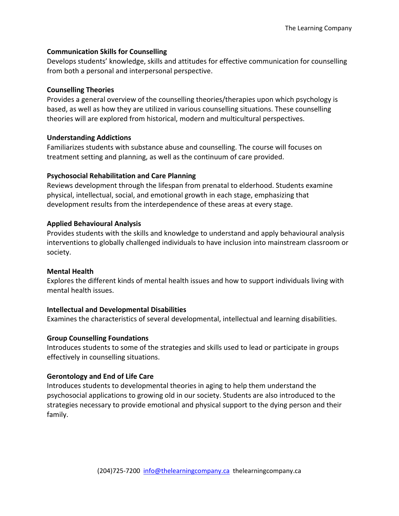## **Communication Skills for Counselling**

Develops students' knowledge, skills and attitudes for effective communication for counselling from both a personal and interpersonal perspective.

# **Counselling Theories**

Provides a general overview of the counselling theories/therapies upon which psychology is based, as well as how they are utilized in various counselling situations. These counselling theories will are explored from historical, modern and multicultural perspectives.

# **Understanding Addictions**

Familiarizes students with substance abuse and counselling. The course will focuses on treatment setting and planning, as well as the continuum of care provided.

# **Psychosocial Rehabilitation and Care Planning**

Reviews development through the lifespan from prenatal to elderhood. Students examine physical, intellectual, social, and emotional growth in each stage, emphasizing that development results from the interdependence of these areas at every stage.

# **Applied Behavioural Analysis**

Provides students with the skills and knowledge to understand and apply behavioural analysis interventions to globally challenged individuals to have inclusion into mainstream classroom or society.

## **Mental Health**

Explores the different kinds of mental health issues and how to support individuals living with mental health issues.

# **Intellectual and Developmental Disabilities**

Examines the characteristics of several developmental, intellectual and learning disabilities.

# **Group Counselling Foundations**

Introduces students to some of the strategies and skills used to lead or participate in groups effectively in counselling situations.

## **Gerontology and End of Life Care**

Introduces students to developmental theories in aging to help them understand the psychosocial applications to growing old in our society. Students are also introduced to the strategies necessary to provide emotional and physical support to the dying person and their family.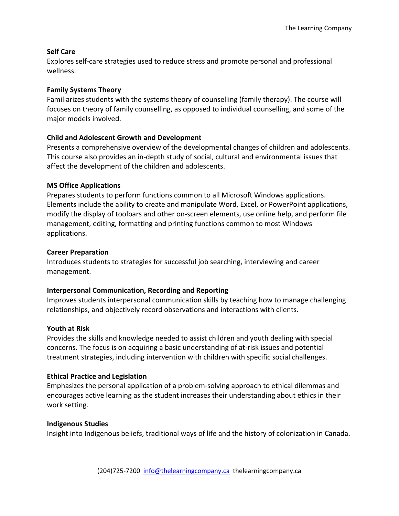# **Self Care**

Explores self-care strategies used to reduce stress and promote personal and professional wellness.

## **Family Systems Theory**

Familiarizes students with the systems theory of counselling (family therapy). The course will focuses on theory of family counselling, as opposed to individual counselling, and some of the major models involved.

# **Child and Adolescent Growth and Development**

Presents a comprehensive overview of the developmental changes of children and adolescents. This course also provides an in-depth study of social, cultural and environmental issues that affect the development of the children and adolescents.

# **MS Office Applications**

Prepares students to perform functions common to all Microsoft Windows applications. Elements include the ability to create and manipulate Word, Excel, or PowerPoint applications, modify the display of toolbars and other on-screen elements, use online help, and perform file management, editing, formatting and printing functions common to most Windows applications.

# **Career Preparation**

Introduces students to strategies for successful job searching, interviewing and career management.

## **Interpersonal Communication, Recording and Reporting**

Improves students interpersonal communication skills by teaching how to manage challenging relationships, and objectively record observations and interactions with clients.

## **Youth at Risk**

Provides the skills and knowledge needed to assist children and youth dealing with special concerns. The focus is on acquiring a basic understanding of at-risk issues and potential treatment strategies, including intervention with children with specific social challenges.

## **Ethical Practice and Legislation**

Emphasizes the personal application of a problem-solving approach to ethical dilemmas and encourages active learning as the student increases their understanding about ethics in their work setting.

## **Indigenous Studies**

Insight into Indigenous beliefs, traditional ways of life and the history of colonization in Canada.